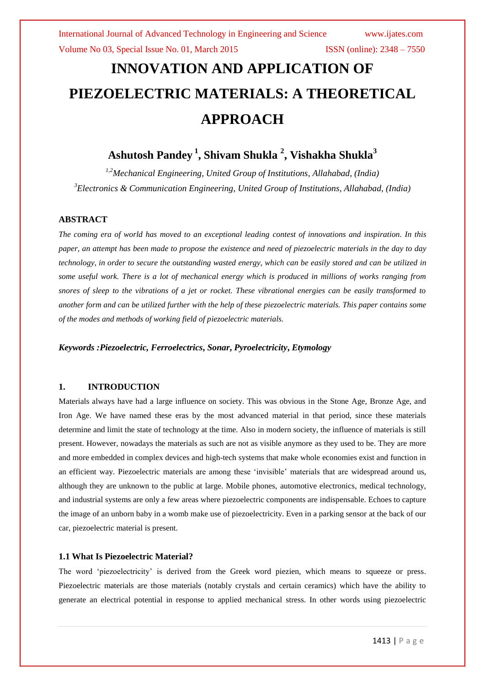# **INNOVATION AND APPLICATION OF PIEZOELECTRIC MATERIALS: A THEORETICAL APPROACH**

# **Ashutosh Pandey <sup>1</sup> , Shivam Shukla <sup>2</sup> , Vishakha Shukla<sup>3</sup>**

*1,2Mechanical Engineering, United Group of Institutions, Allahabad, (India) <sup>3</sup>Electronics & Communication Engineering, United Group of Institutions, Allahabad, (India)*

### **ABSTRACT**

*The coming era of world has moved to an exceptional leading contest of innovations and inspiration. In this paper, an attempt has been made to propose the existence and need of piezoelectric materials in the day to day technology, in order to secure the outstanding wasted energy, which can be easily stored and can be utilized in some useful work. There is a lot of mechanical energy which is produced in millions of works ranging from snores of sleep to the vibrations of a jet or rocket. These vibrational energies can be easily transformed to another form and can be utilized further with the help of these piezoelectric materials. This paper contains some of the modes and methods of working field of piezoelectric materials.*

*Keywords :Piezoelectric, Ferroelectrics***,** *Sonar***,** *Pyroelectricity***,** *Etymology*

## **1. INTRODUCTION**

Materials always have had a large influence on society. This was obvious in the Stone Age, Bronze Age, and Iron Age. We have named these eras by the most advanced material in that period, since these materials determine and limit the state of technology at the time. Also in modern society, the influence of materials is still present. However, nowadays the materials as such are not as visible anymore as they used to be. They are more and more embedded in complex devices and high-tech systems that make whole economies exist and function in an efficient way. Piezoelectric materials are among these "invisible" materials that are widespread around us, although they are unknown to the public at large. Mobile phones, automotive electronics, medical technology, and industrial systems are only a few areas where piezoelectric components are indispensable. Echoes to capture the image of an unborn baby in a womb make use of piezoelectricity. Even in a parking sensor at the back of our car, piezoelectric material is present.

### **1.1 What Is Piezoelectric Material?**

The word 'piezoelectricity' is derived from the Greek word piezien, which means to squeeze or press. Piezoelectric materials are those materials (notably crystals and certain ceramics) which have the ability to generate an electrical potential in response to applied mechanical stress. In other words using piezoelectric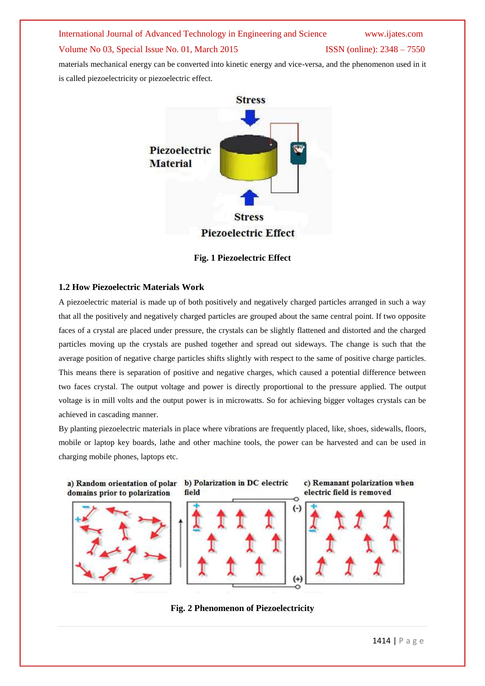# International Journal of Advanced Technology in Engineering and Science www.ijates.com Volume No 03, Special Issue No. 01, March 2015 ISSN (online): 2348 – 7550 materials mechanical energy can be converted into kinetic energy and vice-versa, and the phenomenon used in it

is called piezoelectricity or piezoelectric effect.



**Fig. 1 Piezoelectric Effect**

## **1.2 How Piezoelectric Materials Work**

A piezoelectric material is made up of both positively and negatively charged particles arranged in such a way that all the positively and negatively charged particles are grouped about the same central point. If two opposite faces of a crystal are placed under pressure, the crystals can be slightly flattened and distorted and the charged particles moving up the crystals are pushed together and spread out sideways. The change is such that the average position of negative charge particles shifts slightly with respect to the same of positive charge particles. This means there is separation of positive and negative charges, which caused a potential difference between two faces crystal. The output voltage and power is directly proportional to the pressure applied. The output voltage is in mill volts and the output power is in microwatts. So for achieving bigger voltages crystals can be achieved in cascading manner.

By planting piezoelectric materials in place where vibrations are frequently placed, like, shoes, sidewalls, floors, mobile or laptop key boards, lathe and other machine tools, the power can be harvested and can be used in charging mobile phones, laptops etc.



a) Random orientation of polar b) Polarization in DC electric field







**Fig. 2 Phenomenon of Piezoelectricity**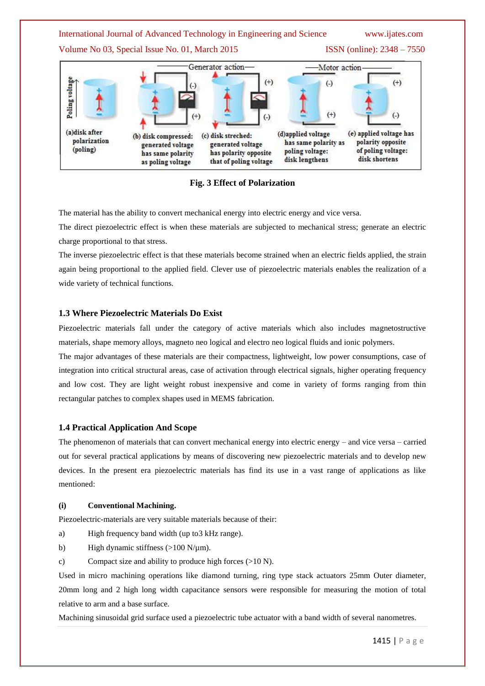

**Fig. 3 Effect of Polarization**

The material has the ability to convert mechanical energy into electric energy and vice versa.

The direct piezoelectric effect is when these materials are subjected to mechanical stress; generate an electric charge proportional to that stress.

The inverse piezoelectric effect is that these materials become strained when an electric fields applied, the strain again being proportional to the applied field. Clever use of piezoelectric materials enables the realization of a wide variety of technical functions.

#### **1.3 Where Piezoelectric Materials Do Exist**

Piezoelectric materials fall under the category of active materials which also includes magnetostructive materials, shape memory alloys, magneto neo logical and electro neo logical fluids and ionic polymers.

The major advantages of these materials are their compactness, lightweight, low power consumptions, case of integration into critical structural areas, case of activation through electrical signals, higher operating frequency and low cost. They are light weight robust inexpensive and come in variety of forms ranging from thin rectangular patches to complex shapes used in MEMS fabrication.

#### **1.4 Practical Application And Scope**

The phenomenon of materials that can convert mechanical energy into electric energy – and vice versa – carried out for several practical applications by means of discovering new piezoelectric materials and to develop new devices. In the present era piezoelectric materials has find its use in a vast range of applications as like mentioned:

#### **(i) Conventional Machining.**

Piezoelectric-materials are very suitable materials because of their:

- a) High frequency band width (up to3 kHz range).
- b) High dynamic stiffness  $(>100 \text{ N/mm})$ .
- c) Compact size and ability to produce high forces (>10 N).

Used in micro machining operations like diamond turning, ring type stack actuators 25mm Outer diameter, 20mm long and 2 high long width capacitance sensors were responsible for measuring the motion of total relative to arm and a base surface.

Machining sinusoidal grid surface used a piezoelectric tube actuator with a band width of several nanometres.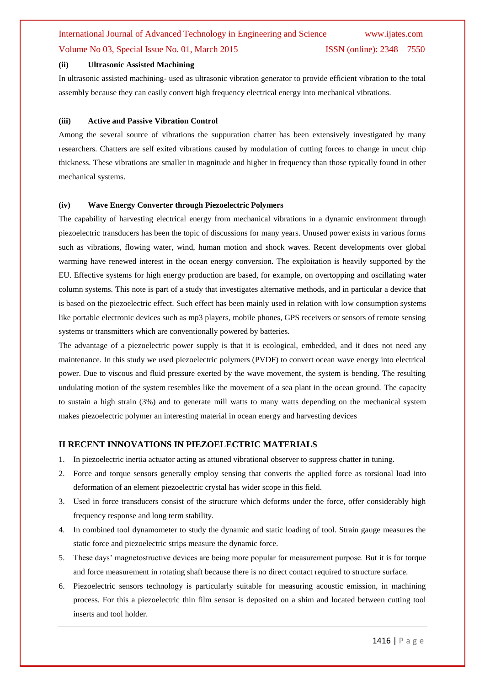# International Journal of Advanced Technology in Engineering and Science www.ijates.com Volume No 03, Special Issue No. 01, March 2015 ISSN (online): 2348 – 7550

#### **(ii) Ultrasonic Assisted Machining**

In ultrasonic assisted machining- used as ultrasonic vibration generator to provide efficient vibration to the total assembly because they can easily convert high frequency electrical energy into mechanical vibrations.

#### **(iii) Active and Passive Vibration Control**

Among the several source of vibrations the suppuration chatter has been extensively investigated by many researchers. Chatters are self exited vibrations caused by modulation of cutting forces to change in uncut chip thickness. These vibrations are smaller in magnitude and higher in frequency than those typically found in other mechanical systems.

#### **(iv) Wave Energy Converter through Piezoelectric Polymers**

The capability of harvesting electrical energy from mechanical vibrations in a dynamic environment through piezoelectric transducers has been the topic of discussions for many years. Unused power exists in various forms such as vibrations, flowing water, wind, human motion and shock waves. Recent developments over global warming have renewed interest in the ocean energy conversion. The exploitation is heavily supported by the EU. Effective systems for high energy production are based, for example, on overtopping and oscillating water column systems. This note is part of a study that investigates alternative methods, and in particular a device that is based on the piezoelectric effect. Such effect has been mainly used in relation with low consumption systems like portable electronic devices such as mp3 players, mobile phones, GPS receivers or sensors of remote sensing systems or transmitters which are conventionally powered by batteries.

The advantage of a piezoelectric power supply is that it is ecological, embedded, and it does not need any maintenance. In this study we used piezoelectric polymers (PVDF) to convert ocean wave energy into electrical power. Due to viscous and fluid pressure exerted by the wave movement, the system is bending. The resulting undulating motion of the system resembles like the movement of a sea plant in the ocean ground. The capacity to sustain a high strain (3%) and to generate mill watts to many watts depending on the mechanical system makes piezoelectric polymer an interesting material in ocean energy and harvesting devices

#### **II RECENT INNOVATIONS IN PIEZOELECTRIC MATERIALS**

- 1. In piezoelectric inertia actuator acting as attuned vibrational observer to suppress chatter in tuning.
- 2. Force and torque sensors generally employ sensing that converts the applied force as torsional load into deformation of an element piezoelectric crystal has wider scope in this field.
- 3. Used in force transducers consist of the structure which deforms under the force, offer considerably high frequency response and long term stability.
- 4. In combined tool dynamometer to study the dynamic and static loading of tool. Strain gauge measures the static force and piezoelectric strips measure the dynamic force.
- 5. These days" magnetostructive devices are being more popular for measurement purpose. But it is for torque and force measurement in rotating shaft because there is no direct contact required to structure surface.
- 6. Piezoelectric sensors technology is particularly suitable for measuring acoustic emission, in machining process. For this a piezoelectric thin film sensor is deposited on a shim and located between cutting tool inserts and tool holder.